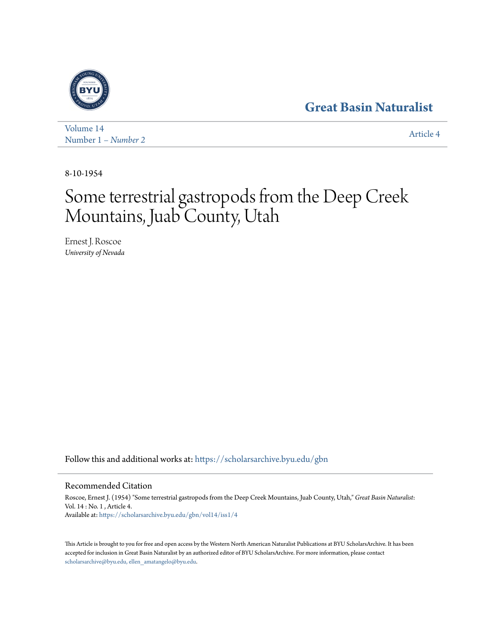## **[Great Basin Naturalist](https://scholarsarchive.byu.edu/gbn?utm_source=scholarsarchive.byu.edu%2Fgbn%2Fvol14%2Fiss1%2F4&utm_medium=PDF&utm_campaign=PDFCoverPages)**



[Volume 14](https://scholarsarchive.byu.edu/gbn/vol14?utm_source=scholarsarchive.byu.edu%2Fgbn%2Fvol14%2Fiss1%2F4&utm_medium=PDF&utm_campaign=PDFCoverPages) Number 1 *[– Number 2](https://scholarsarchive.byu.edu/gbn/vol14/iss1?utm_source=scholarsarchive.byu.edu%2Fgbn%2Fvol14%2Fiss1%2F4&utm_medium=PDF&utm_campaign=PDFCoverPages)* [Article 4](https://scholarsarchive.byu.edu/gbn/vol14/iss1/4?utm_source=scholarsarchive.byu.edu%2Fgbn%2Fvol14%2Fiss1%2F4&utm_medium=PDF&utm_campaign=PDFCoverPages)

8-10-1954

# Some terrestrial gastropods from the Deep Creek Mountains, Juab County, Utah

Ernest J. Roscoe *University of Nevada*

Follow this and additional works at: [https://scholarsarchive.byu.edu/gbn](https://scholarsarchive.byu.edu/gbn?utm_source=scholarsarchive.byu.edu%2Fgbn%2Fvol14%2Fiss1%2F4&utm_medium=PDF&utm_campaign=PDFCoverPages)

#### Recommended Citation

Roscoe, Ernest J. (1954) "Some terrestrial gastropods from the Deep Creek Mountains, Juab County, Utah," *Great Basin Naturalist*: Vol. 14 : No. 1 , Article 4. Available at: [https://scholarsarchive.byu.edu/gbn/vol14/iss1/4](https://scholarsarchive.byu.edu/gbn/vol14/iss1/4?utm_source=scholarsarchive.byu.edu%2Fgbn%2Fvol14%2Fiss1%2F4&utm_medium=PDF&utm_campaign=PDFCoverPages)

This Article is brought to you for free and open access by the Western North American Naturalist Publications at BYU ScholarsArchive. It has been accepted for inclusion in Great Basin Naturalist by an authorized editor of BYU ScholarsArchive. For more information, please contact [scholarsarchive@byu.edu, ellen\\_amatangelo@byu.edu.](mailto:scholarsarchive@byu.edu,%20ellen_amatangelo@byu.edu)